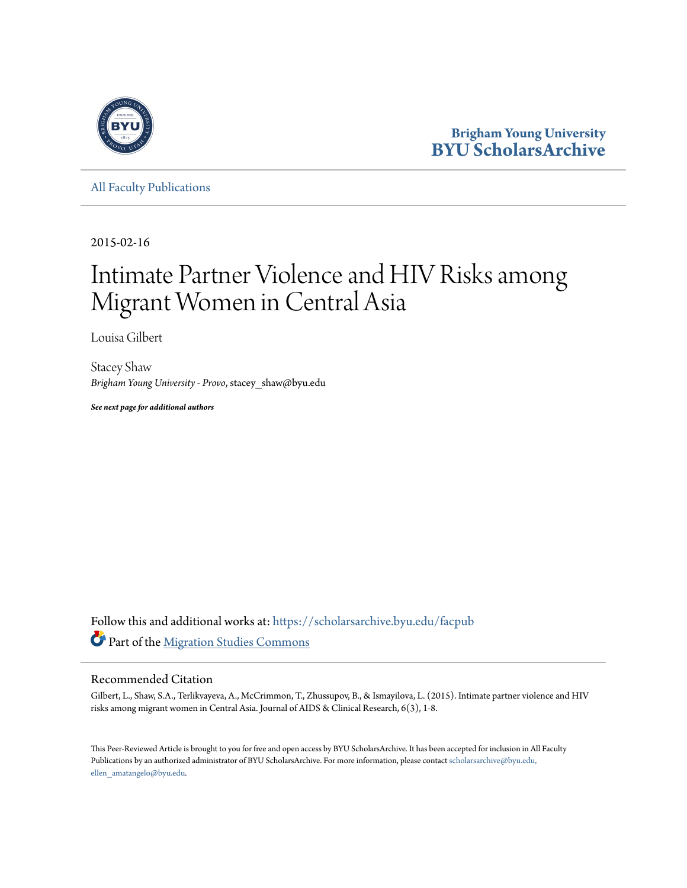

**Brigham Young University [BYU ScholarsArchive](https://scholarsarchive.byu.edu?utm_source=scholarsarchive.byu.edu%2Ffacpub%2F2930&utm_medium=PDF&utm_campaign=PDFCoverPages)**

[All Faculty Publications](https://scholarsarchive.byu.edu/facpub?utm_source=scholarsarchive.byu.edu%2Ffacpub%2F2930&utm_medium=PDF&utm_campaign=PDFCoverPages)

2015-02-16

# Intimate Partner Violence and HIV Risks among Migrant Women in Central Asia

Louisa Gilbert

Stacey Shaw *Brigham Young University - Provo*, stacey\_shaw@byu.edu

*See next page for additional authors*

Follow this and additional works at: [https://scholarsarchive.byu.edu/facpub](https://scholarsarchive.byu.edu/facpub?utm_source=scholarsarchive.byu.edu%2Ffacpub%2F2930&utm_medium=PDF&utm_campaign=PDFCoverPages) Part of the [Migration Studies Commons](http://network.bepress.com/hgg/discipline/1394?utm_source=scholarsarchive.byu.edu%2Ffacpub%2F2930&utm_medium=PDF&utm_campaign=PDFCoverPages)

## Recommended Citation

Gilbert, L., Shaw, S.A., Terlikvayeva, A., McCrimmon, T., Zhussupov, B., & Ismayilova, L. (2015). Intimate partner violence and HIV risks among migrant women in Central Asia. Journal of AIDS & Clinical Research, 6(3), 1-8.

This Peer-Reviewed Article is brought to you for free and open access by BYU ScholarsArchive. It has been accepted for inclusion in All Faculty Publications by an authorized administrator of BYU ScholarsArchive. For more information, please contact [scholarsarchive@byu.edu,](mailto:scholarsarchive@byu.edu,%20ellen_amatangelo@byu.edu) [ellen\\_amatangelo@byu.edu.](mailto:scholarsarchive@byu.edu,%20ellen_amatangelo@byu.edu)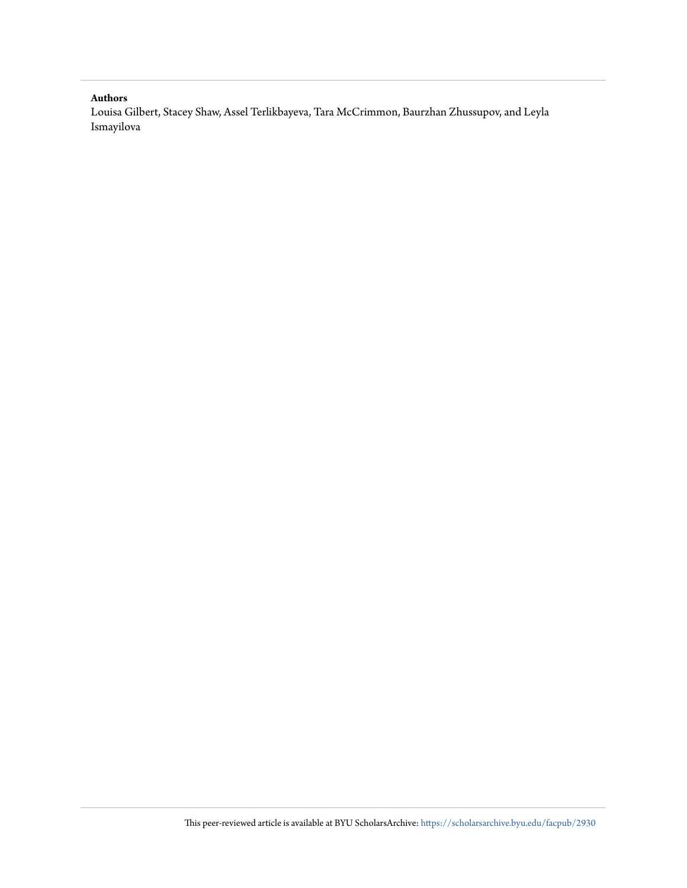#### **Authors**

Louisa Gilbert, Stacey Shaw, Assel Terlikbayeva, Tara McCrimmon, Baurzhan Zhussupov, and Leyla Ismayilova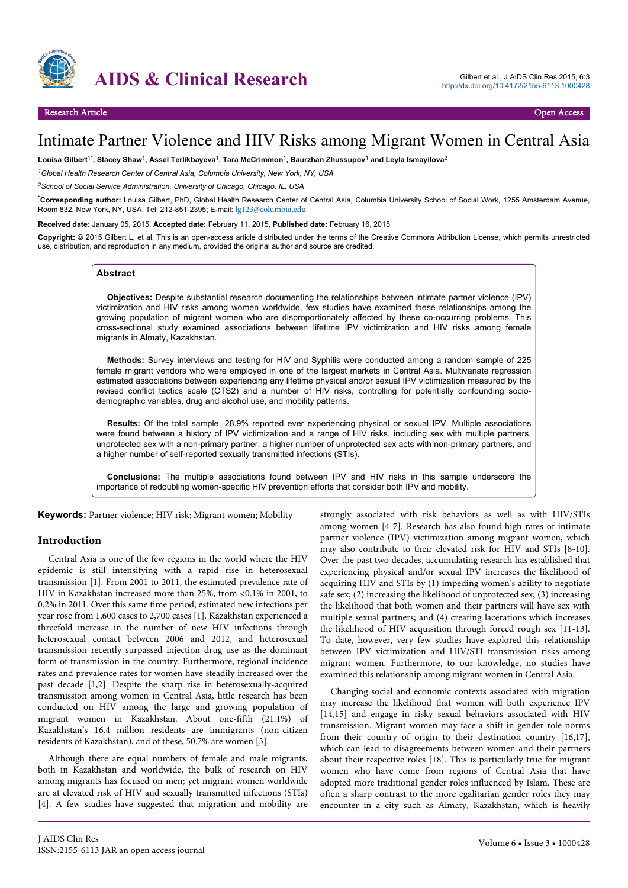

# Intimate Partner Violence and HIV Risks among Migrant Women in Central Asia

**Louisa Gilbert**1\***, Stacey Shaw**<sup>1</sup> **, Assel Terlikbayeva**<sup>1</sup> **, Tara McCrimmon**<sup>1</sup> **, Baurzhan Zhussupov**<sup>1</sup>  **and Leyla Ismayilova**<sup>2</sup>

*<sup>1</sup>Global Health Research Center of Central Asia, Columbia University, New York, NY, USA*

*<sup>2</sup>School of Social Service Administration, University of Chicago, Chicago, IL, USA*

\***Corresponding author:** Louisa Gilbert, PhD, Global Health Research Center of Central Asia, Columbia University School of Social Work, 1255 Amsterdam Avenue, Room 832, New York, NY, USA, Tel: 212-851-2395; E-mail: [lg123@columbia.edu](mailto:lg123@columbia.edu)

**Received date:** January 05, 2015, **Accepted date:** February 11, 2015, **Published date:** February 16, 2015

**Copyright:** © 2015 Gilbert L, et al. This is an open-access article distributed under the terms of the Creative Commons Attribution License, which permits unrestricted use, distribution, and reproduction in any medium, provided the original author and source are credited.

#### **Abstract**

**Objectives:** Despite substantial research documenting the relationships between intimate partner violence (IPV) victimization and HIV risks among women worldwide, few studies have examined these relationships among the growing population of migrant women who are disproportionately affected by these co-occurring problems. This cross-sectional study examined associations between lifetime IPV victimization and HIV risks among female migrants in Almaty, Kazakhstan.

**Methods:** Survey interviews and testing for HIV and Syphilis were conducted among a random sample of 225 female migrant vendors who were employed in one of the largest markets in Central Asia. Multivariate regression estimated associations between experiencing any lifetime physical and/or sexual IPV victimization measured by the revised conflict tactics scale (CTS2) and a number of HIV risks, controlling for potentially confounding sociodemographic variables, drug and alcohol use, and mobility patterns.

**Results:** Of the total sample, 28.9% reported ever experiencing physical or sexual IPV. Multiple associations were found between a history of IPV victimization and a range of HIV risks, including sex with multiple partners, unprotected sex with a non-primary partner, a higher number of unprotected sex acts with non-primary partners, and a higher number of self-reported sexually transmitted infections (STIs).

**Conclusions:** The multiple associations found between IPV and HIV risks in this sample underscore the importance of redoubling women-specific HIV prevention efforts that consider both IPV and mobility.

**Keywords:** Partner violence; HIV risk; Migrant women; Mobility

#### **Introduction**

Central Asia is one of the few regions in the world where the HIV epidemic is still intensifying with a rapid rise in heterosexual transmission [1]. From 2001 to 2011, the estimated prevalence rate of HIV in Kazakhstan increased more than 25%, from <0.1% in 2001, to 0.2% in 2011. Over this same time period, estimated new infections per year rose from 1,600 cases to 2,700 cases [1]. Kazakhstan experienced a threefold increase in the number of new HIV infections through heterosexual contact between 2006 and 2012, and heterosexual transmission recently surpassed injection drug use as the dominant form of transmission in the country. Furthermore, regional incidence rates and prevalence rates for women have steadily increased over the past decade [1,2]. Despite the sharp rise in heterosexually-acquired transmission among women in Central Asia, little research has been conducted on HIV among the large and growing population of migrant women in Kazakhstan. About one-fifth (21.1%) of Kazakhstan's 16.4 million residents are immigrants (non-citizen residents of Kazakhstan), and of these, 50.7% are women [3].

Although there are equal numbers of female and male migrants, both in Kazakhstan and worldwide, the bulk of research on HIV among migrants has focused on men; yet migrant women worldwide are at elevated risk of HIV and sexually transmitted infections (STIs) [4]. A few studies have suggested that migration and mobility are

strongly associated with risk behaviors as well as with HIV/STIs among women [4-7]. Research has also found high rates of intimate partner violence (IPV) victimization among migrant women, which may also contribute to their elevated risk for HIV and STIs [8-10]. Over the past two decades, accumulating research has established that experiencing physical and/or sexual IPV increases the likelihood of acquiring HIV and STIs by (1) impeding women's ability to negotiate safe sex; (2) increasing the likelihood of unprotected sex; (3) increasing the likelihood that both women and their partners will have sex with multiple sexual partners; and (4) creating lacerations which increases the likelihood of HIV acquisition through forced rough sex [11-13]. To date, however, very few studies have explored this relationship between IPV victimization and HIV/STI transmission risks among migrant women. Furthermore, to our knowledge, no studies have examined this relationship among migrant women in Central Asia.

Changing social and economic contexts associated with migration may increase the likelihood that women will both experience IPV [14,15] and engage in risky sexual behaviors associated with HIV transmission. Migrant women may face a shift in gender role norms from their country of origin to their destination country [16,17], which can lead to disagreements between women and their partners about their respective roles [18]. This is particularly true for migrant women who have come from regions of Central Asia that have adopted more traditional gender roles influenced by Islam. These are often a sharp contrast to the more egalitarian gender roles they may encounter in a city such as Almaty, Kazakhstan, which is heavily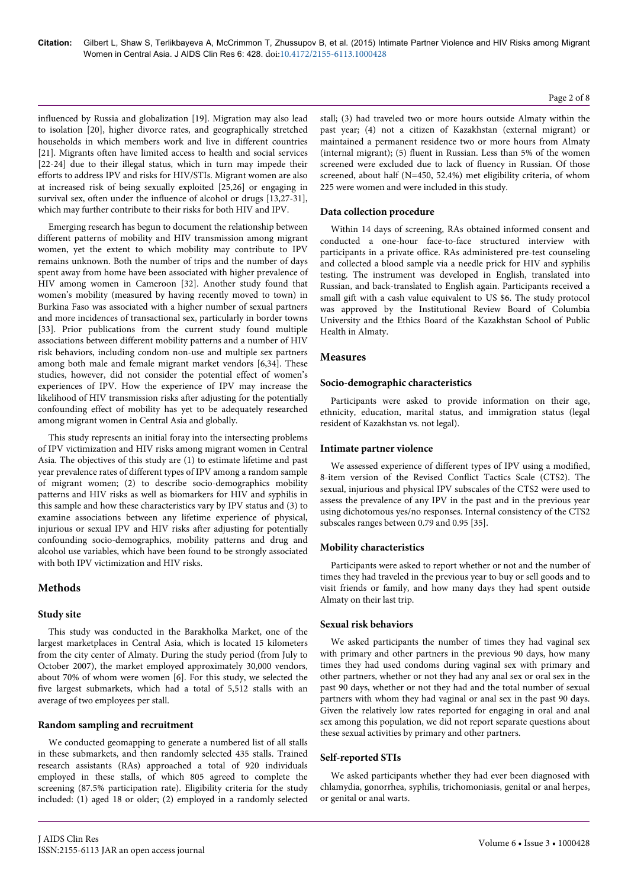influenced by Russia and globalization [19]. Migration may also lead to isolation [20], higher divorce rates, and geographically stretched households in which members work and live in different countries [21]. Migrants often have limited access to health and social services [22-24] due to their illegal status, which in turn may impede their efforts to address IPV and risks for HIV/STIs. Migrant women are also at increased risk of being sexually exploited [25,26] or engaging in survival sex, often under the influence of alcohol or drugs [13,27-31], which may further contribute to their risks for both HIV and IPV.

Emerging research has begun to document the relationship between different patterns of mobility and HIV transmission among migrant women, yet the extent to which mobility may contribute to IPV remains unknown. Both the number of trips and the number of days spent away from home have been associated with higher prevalence of HIV among women in Cameroon [32]. Another study found that women's mobility (measured by having recently moved to town) in Burkina Faso was associated with a higher number of sexual partners and more incidences of transactional sex, particularly in border towns [33]. Prior publications from the current study found multiple associations between different mobility patterns and a number of HIV risk behaviors, including condom non-use and multiple sex partners among both male and female migrant market vendors [6,34]. These studies, however, did not consider the potential effect of women's experiences of IPV. How the experience of IPV may increase the likelihood of HIV transmission risks after adjusting for the potentially confounding effect of mobility has yet to be adequately researched among migrant women in Central Asia and globally.

This study represents an initial foray into the intersecting problems of IPV victimization and HIV risks among migrant women in Central Asia. The objectives of this study are (1) to estimate lifetime and past year prevalence rates of different types of IPV among a random sample of migrant women; (2) to describe socio-demographics mobility patterns and HIV risks as well as biomarkers for HIV and syphilis in this sample and how these characteristics vary by IPV status and (3) to examine associations between any lifetime experience of physical, injurious or sexual IPV and HIV risks after adjusting for potentially confounding socio-demographics, mobility patterns and drug and alcohol use variables, which have been found to be strongly associated with both IPV victimization and HIV risks.

# **Methods**

#### **Study site**

This study was conducted in the Barakholka Market, one of the largest marketplaces in Central Asia, which is located 15 kilometers from the city center of Almaty. During the study period (from July to October 2007), the market employed approximately 30,000 vendors, about 70% of whom were women [6]. For this study, we selected the five largest submarkets, which had a total of 5,512 stalls with an average of two employees per stall.

#### **Random sampling and recruitment**

We conducted geomapping to generate a numbered list of all stalls in these submarkets, and then randomly selected 435 stalls. Trained research assistants (RAs) approached a total of 920 individuals employed in these stalls, of which 805 agreed to complete the screening (87.5% participation rate). Eligibility criteria for the study included: (1) aged 18 or older; (2) employed in a randomly selected

stall; (3) had traveled two or more hours outside Almaty within the past year; (4) not a citizen of Kazakhstan (external migrant) or maintained a permanent residence two or more hours from Almaty (internal migrant); (5) fluent in Russian. Less than 5% of the women screened were excluded due to lack of fluency in Russian. Of those screened, about half (N=450, 52.4%) met eligibility criteria, of whom 225 were women and were included in this study.

#### **Data collection procedure**

Within 14 days of screening, RAs obtained informed consent and conducted a one-hour face-to-face structured interview with participants in a private office. RAs administered pre-test counseling and collected a blood sample via a needle prick for HIV and syphilis testing. The instrument was developed in English, translated into Russian, and back-translated to English again. Participants received a small gift with a cash value equivalent to US \$6. The study protocol was approved by the Institutional Review Board of Columbia University and the Ethics Board of the Kazakhstan School of Public Health in Almaty.

#### **Measures**

#### **Socio-demographic characteristics**

Participants were asked to provide information on their age, ethnicity, education, marital status, and immigration status (legal resident of Kazakhstan vs. not legal).

#### **Intimate partner violence**

We assessed experience of different types of IPV using a modified, 8-item version of the Revised Conflict Tactics Scale (CTS2). The sexual, injurious and physical IPV subscales of the CTS2 were used to assess the prevalence of any IPV in the past and in the previous year using dichotomous yes/no responses. Internal consistency of the CTS2 subscales ranges between 0.79 and 0.95 [35].

#### **Mobility characteristics**

Participants were asked to report whether or not and the number of times they had traveled in the previous year to buy or sell goods and to visit friends or family, and how many days they had spent outside Almaty on their last trip.

#### **Sexual risk behaviors**

We asked participants the number of times they had vaginal sex with primary and other partners in the previous 90 days, how many times they had used condoms during vaginal sex with primary and other partners, whether or not they had any anal sex or oral sex in the past 90 days, whether or not they had and the total number of sexual partners with whom they had vaginal or anal sex in the past 90 days. Given the relatively low rates reported for engaging in oral and anal sex among this population, we did not report separate questions about these sexual activities by primary and other partners.

#### **Self-reported STIs**

We asked participants whether they had ever been diagnosed with chlamydia, gonorrhea, syphilis, trichomoniasis, genital or anal herpes, or genital or anal warts.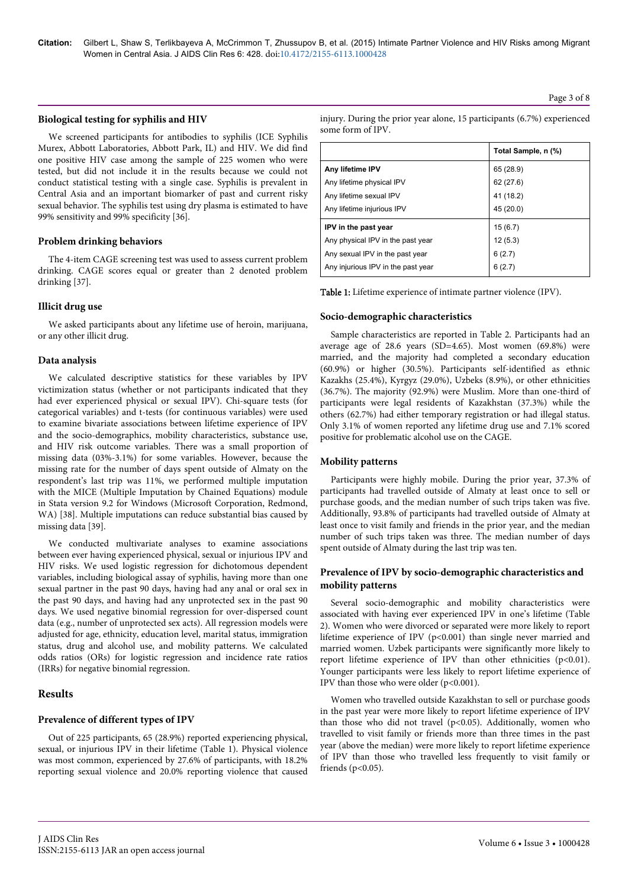#### **Biological testing for syphilis and HIV**

We screened participants for antibodies to syphilis (ICE Syphilis Murex, Abbott Laboratories, Abbott Park, IL) and HIV. We did find one positive HIV case among the sample of 225 women who were tested, but did not include it in the results because we could not conduct statistical testing with a single case. Syphilis is prevalent in Central Asia and an important biomarker of past and current risky sexual behavior. The syphilis test using dry plasma is estimated to have 99% sensitivity and 99% specificity [36].

#### **Problem drinking behaviors**

The 4-item CAGE screening test was used to assess current problem drinking. CAGE scores equal or greater than 2 denoted problem drinking [37].

#### **Illicit drug use**

We asked participants about any lifetime use of heroin, marijuana, or any other illicit drug.

#### **Data analysis**

We calculated descriptive statistics for these variables by IPV victimization status (whether or not participants indicated that they had ever experienced physical or sexual IPV). Chi-square tests (for categorical variables) and t-tests (for continuous variables) were used to examine bivariate associations between lifetime experience of IPV and the socio-demographics, mobility characteristics, substance use, and HIV risk outcome variables. There was a small proportion of missing data (03%-3.1%) for some variables. However, because the missing rate for the number of days spent outside of Almaty on the respondent's last trip was 11%, we performed multiple imputation with the MICE (Multiple Imputation by Chained Equations) module in Stata version 9.2 for Windows (Microsoft Corporation, Redmond, WA) [38]. Multiple imputations can reduce substantial bias caused by missing data [39].

We conducted multivariate analyses to examine associations between ever having experienced physical, sexual or injurious IPV and HIV risks. We used logistic regression for dichotomous dependent variables, including biological assay of syphilis, having more than one sexual partner in the past 90 days, having had any anal or oral sex in the past 90 days, and having had any unprotected sex in the past 90 days. We used negative binomial regression for over-dispersed count data (e.g., number of unprotected sex acts). All regression models were adjusted for age, ethnicity, education level, marital status, immigration status, drug and alcohol use, and mobility patterns. We calculated odds ratios (ORs) for logistic regression and incidence rate ratios (IRRs) for negative binomial regression.

# **Results**

#### **Prevalence of different types of IPV**

Out of 225 participants, 65 (28.9%) reported experiencing physical, sexual, or injurious IPV in their lifetime (Table 1). Physical violence was most common, experienced by 27.6% of participants, with 18.2% reporting sexual violence and 20.0% reporting violence that caused

injury. During the prior year alone, 15 participants (6.7%) experienced some form of IPV.

|                                    | Total Sample, n (%) |
|------------------------------------|---------------------|
| Any lifetime IPV                   | 65 (28.9)           |
| Any lifetime physical IPV          | 62(27.6)            |
| Any lifetime sexual IPV            | 41 (18.2)           |
| Any lifetime injurious IPV         | 45 (20.0)           |
| IPV in the past year               | 15(6.7)             |
| Any physical IPV in the past year  | 12(5.3)             |
| Any sexual IPV in the past year    | 6(2.7)              |
| Any injurious IPV in the past year | 6(2.7)              |

Table 1: Lifetime experience of intimate partner violence (IPV).

#### **Socio-demographic characteristics**

Sample characteristics are reported in Table 2. Participants had an average age of 28.6 years (SD=4.65). Most women (69.8%) were married, and the majority had completed a secondary education (60.9%) or higher (30.5%). Participants self-identified as ethnic Kazakhs (25.4%), Kyrgyz (29.0%), Uzbeks (8.9%), or other ethnicities (36.7%). The majority (92.9%) were Muslim. More than one-third of participants were legal residents of Kazakhstan (37.3%) while the others (62.7%) had either temporary registration or had illegal status. Only 3.1% of women reported any lifetime drug use and 7.1% scored positive for problematic alcohol use on the CAGE.

#### **Mobility patterns**

Participants were highly mobile. During the prior year, 37.3% of participants had travelled outside of Almaty at least once to sell or purchase goods, and the median number of such trips taken was five. Additionally, 93.8% of participants had travelled outside of Almaty at least once to visit family and friends in the prior year, and the median number of such trips taken was three. The median number of days spent outside of Almaty during the last trip was ten.

#### **Prevalence of IPV by socio-demographic characteristics and mobility patterns**

Several socio-demographic and mobility characteristics were associated with having ever experienced IPV in one's lifetime (Table 2). Women who were divorced or separated were more likely to report lifetime experience of IPV (p<0.001) than single never married and married women. Uzbek participants were significantly more likely to report lifetime experience of IPV than other ethnicities (p<0.01). Younger participants were less likely to report lifetime experience of IPV than those who were older (p<0.001).

Women who travelled outside Kazakhstan to sell or purchase goods in the past year were more likely to report lifetime experience of IPV than those who did not travel (p<0.05). Additionally, women who travelled to visit family or friends more than three times in the past year (above the median) were more likely to report lifetime experience of IPV than those who travelled less frequently to visit family or friends ( $p<0.05$ ).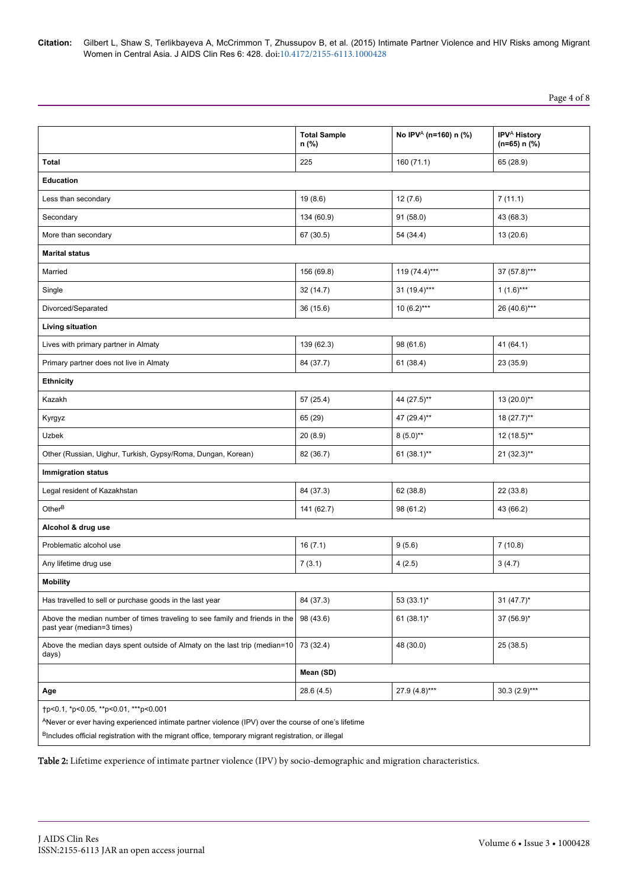Page 4 of 8

|                                                                                                                                                                                                                                                                 | <b>Total Sample</b><br>n (%) | No IPV <sup>A</sup> (n=160) n (%) | IPV <sup>A</sup> History<br>$(n=65) n$ (%) |  |  |  |  |
|-----------------------------------------------------------------------------------------------------------------------------------------------------------------------------------------------------------------------------------------------------------------|------------------------------|-----------------------------------|--------------------------------------------|--|--|--|--|
| Total                                                                                                                                                                                                                                                           | 225                          | 160(71.1)                         | 65 (28.9)                                  |  |  |  |  |
| <b>Education</b>                                                                                                                                                                                                                                                |                              |                                   |                                            |  |  |  |  |
| Less than secondary                                                                                                                                                                                                                                             | 19(8.6)                      | 12(7.6)                           | 7(11.1)                                    |  |  |  |  |
| Secondary                                                                                                                                                                                                                                                       | 134 (60.9)                   | 91(58.0)                          | 43 (68.3)                                  |  |  |  |  |
| More than secondary                                                                                                                                                                                                                                             | 67 (30.5)                    | 54 (34.4)                         | 13 (20.6)                                  |  |  |  |  |
| <b>Marital status</b>                                                                                                                                                                                                                                           |                              |                                   |                                            |  |  |  |  |
| Married                                                                                                                                                                                                                                                         | 156 (69.8)                   | $119(74.4)***$                    | 37 (57.8)***                               |  |  |  |  |
| Single                                                                                                                                                                                                                                                          | 32(14.7)                     | $31 (19.4)***$                    | $1(1.6)***$                                |  |  |  |  |
| Divorced/Separated                                                                                                                                                                                                                                              | 36(15.6)                     | $10(6.2)***$                      | 26 (40.6)***                               |  |  |  |  |
| Living situation                                                                                                                                                                                                                                                |                              |                                   |                                            |  |  |  |  |
| Lives with primary partner in Almaty                                                                                                                                                                                                                            | 139 (62.3)                   | 98 (61.6)                         | 41(64.1)                                   |  |  |  |  |
| Primary partner does not live in Almaty                                                                                                                                                                                                                         | 84 (37.7)                    | 61(38.4)                          | 23 (35.9)                                  |  |  |  |  |
| <b>Ethnicity</b>                                                                                                                                                                                                                                                |                              |                                   |                                            |  |  |  |  |
| Kazakh                                                                                                                                                                                                                                                          | 57 (25.4)                    | 44 (27.5)**                       | $13(20.0)$ **                              |  |  |  |  |
| Kyrgyz                                                                                                                                                                                                                                                          | 65 (29)                      | 47 (29.4)**                       | $18(27.7)$ **                              |  |  |  |  |
| Uzbek                                                                                                                                                                                                                                                           | 20(8.9)                      | $8(5.0)$ **                       | 12 (18.5)**                                |  |  |  |  |
| Other (Russian, Uighur, Turkish, Gypsy/Roma, Dungan, Korean)                                                                                                                                                                                                    | 82 (36.7)                    | $61 (38.1)$ **                    | $21 (32.3)$ **                             |  |  |  |  |
| <b>Immigration status</b>                                                                                                                                                                                                                                       |                              |                                   |                                            |  |  |  |  |
| Legal resident of Kazakhstan                                                                                                                                                                                                                                    | 84 (37.3)                    | 62 (38.8)                         | 22 (33.8)                                  |  |  |  |  |
| Other <sup>B</sup>                                                                                                                                                                                                                                              | 141 (62.7)                   | 98 (61.2)                         | 43 (66.2)                                  |  |  |  |  |
| Alcohol & drug use                                                                                                                                                                                                                                              |                              |                                   |                                            |  |  |  |  |
| Problematic alcohol use                                                                                                                                                                                                                                         | 16(7.1)                      | 9(5.6)                            | 7(10.8)                                    |  |  |  |  |
| Any lifetime drug use                                                                                                                                                                                                                                           | 7(3.1)                       | 4(2.5)                            | 3(4.7)                                     |  |  |  |  |
| <b>Mobility</b>                                                                                                                                                                                                                                                 |                              |                                   |                                            |  |  |  |  |
| Has travelled to sell or purchase goods in the last year                                                                                                                                                                                                        | 84 (37.3)                    | 53 $(33.1)^*$                     | 31 $(47.7)^*$                              |  |  |  |  |
| Above the median number of times traveling to see family and friends in the<br>past year (median=3 times)                                                                                                                                                       | 98 (43.6)                    | $61 (38.1)^*$                     | 37 (56.9)*                                 |  |  |  |  |
| Above the median days spent outside of Almaty on the last trip (median=10<br>days)                                                                                                                                                                              | 73 (32.4)                    | 48 (30.0)                         | 25 (38.5)                                  |  |  |  |  |
|                                                                                                                                                                                                                                                                 | Mean (SD)                    |                                   |                                            |  |  |  |  |
| Age                                                                                                                                                                                                                                                             | 28.6 (4.5)                   | 27.9 (4.8)***                     | $30.3(2.9)***$                             |  |  |  |  |
| tp<0.1, *p<0.05, **p<0.01, ***p<0.001<br>ANever or ever having experienced intimate partner violence (IPV) over the course of one's lifetime<br><sup>B</sup> Includes official registration with the migrant office, temporary migrant registration, or illegal |                              |                                   |                                            |  |  |  |  |

Table 2: Lifetime experience of intimate partner violence (IPV) by socio-demographic and migration characteristics.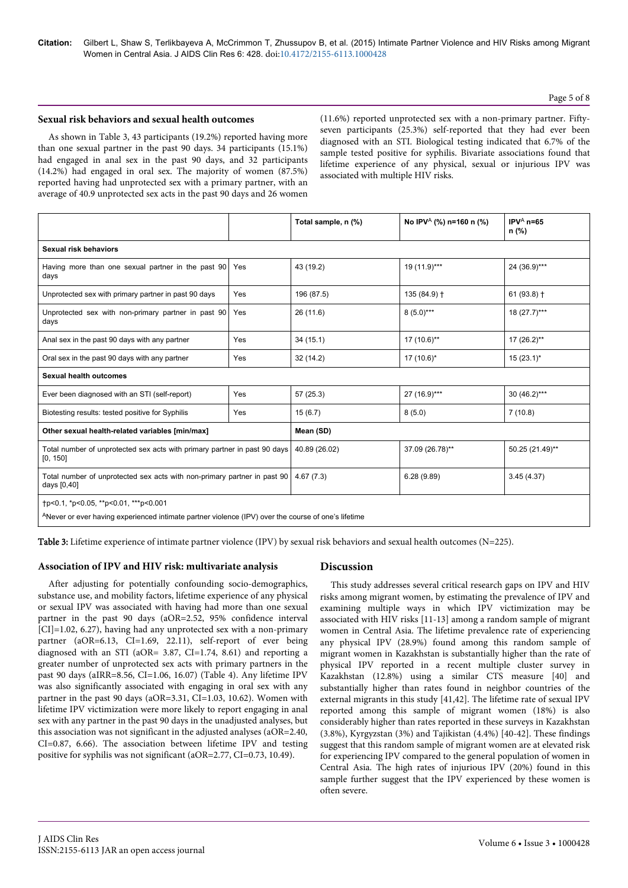**Citation:** Gilbert L, Shaw S, Terlikbayeva A, McCrimmon T, Zhussupov B, et al. (2015) Intimate Partner Violence and HIV Risks among Migrant Women in Central Asia. J AIDS Clin Res 6: 428. doi:[10.4172/2155-6113.1000428](http://dx.doi.org/10.4172/2155-6113.1000428)

#### Page 5 of 8

#### **Sexual risk behaviors and sexual health outcomes**

As shown in Table 3, 43 participants (19.2%) reported having more than one sexual partner in the past 90 days. 34 participants (15.1%) had engaged in anal sex in the past 90 days, and 32 participants (14.2%) had engaged in oral sex. The majority of women (87.5%) reported having had unprotected sex with a primary partner, with an average of 40.9 unprotected sex acts in the past 90 days and 26 women

(11.6%) reported unprotected sex with a non-primary partner. Fiftyseven participants (25.3%) self-reported that they had ever been diagnosed with an STI. Biological testing indicated that 6.7% of the sample tested positive for syphilis. Bivariate associations found that lifetime experience of any physical, sexual or injurious IPV was associated with multiple HIV risks.

|                                                                                                                                              |     | Total sample, n (%) | No IPV <sup>A</sup> (%) n=160 n (%) | IPV $^{\text{A}}$ n=65<br>n (%) |  |  |
|----------------------------------------------------------------------------------------------------------------------------------------------|-----|---------------------|-------------------------------------|---------------------------------|--|--|
| <b>Sexual risk behaviors</b>                                                                                                                 |     |                     |                                     |                                 |  |  |
| Having more than one sexual partner in the past 90<br>Yes<br>days                                                                            |     | 43 (19.2)           | 19 (11.9)***                        | 24 (36.9)***                    |  |  |
| Unprotected sex with primary partner in past 90 days                                                                                         | Yes | 196 (87.5)          | 135 (84.9) +                        | $61(93.8)$ †                    |  |  |
| Unprotected sex with non-primary partner in past 90<br>days                                                                                  | Yes | 26 (11.6)           | $8(5.0)***$                         | $18(27.7)***$                   |  |  |
| Anal sex in the past 90 days with any partner                                                                                                | Yes | 34(15.1)            | 17 (10.6)**                         | 17 (26.2)**                     |  |  |
| Oral sex in the past 90 days with any partner                                                                                                | Yes | 32 (14.2)           | 17 (10.6)*                          | $15(23.1)^{*}$                  |  |  |
| <b>Sexual health outcomes</b>                                                                                                                |     |                     |                                     |                                 |  |  |
| Ever been diagnosed with an STI (self-report)                                                                                                | Yes | 57 (25.3)           | 27 (16.9)***                        | $30(46.2)***$                   |  |  |
| Biotesting results: tested positive for Syphilis<br>Yes                                                                                      |     | 15(6.7)             | 8(5.0)                              | 7(10.8)                         |  |  |
| Other sexual health-related variables [min/max]                                                                                              |     | Mean (SD)           |                                     |                                 |  |  |
| Total number of unprotected sex acts with primary partner in past 90 days<br>[0, 150]                                                        |     | 40.89 (26.02)       | 37.09 (26.78)**                     | 50.25 (21.49)**                 |  |  |
| Total number of unprotected sex acts with non-primary partner in past 90<br>days [0,40]                                                      |     | 4.67(7.3)           | 6.28(9.89)                          | 3.45(4.37)                      |  |  |
| tp<0.1, *p<0.05, **p<0.01, ***p<0.001<br>ANever or ever having experienced intimate partner violence (IPV) over the course of one's lifetime |     |                     |                                     |                                 |  |  |

Table 3: Lifetime experience of intimate partner violence (IPV) by sexual risk behaviors and sexual health outcomes (N=225).

#### **Association of IPV and HIV risk: multivariate analysis**

After adjusting for potentially confounding socio-demographics, substance use, and mobility factors, lifetime experience of any physical or sexual IPV was associated with having had more than one sexual partner in the past 90 days (aOR=2.52, 95% confidence interval [CI]=1.02, 6.27), having had any unprotected sex with a non-primary partner (aOR=6.13, CI=1.69, 22.11), self-report of ever being diagnosed with an STI (aOR= 3.87, CI=1.74, 8.61) and reporting a greater number of unprotected sex acts with primary partners in the past 90 days (aIRR=8.56, CI=1.06, 16.07) (Table 4). Any lifetime IPV was also significantly associated with engaging in oral sex with any partner in the past 90 days (aOR=3.31, CI=1.03, 10.62). Women with lifetime IPV victimization were more likely to report engaging in anal sex with any partner in the past 90 days in the unadjusted analyses, but this association was not significant in the adjusted analyses (aOR=2.40, CI=0.87, 6.66). The association between lifetime IPV and testing positive for syphilis was not significant (aOR=2.77, CI=0.73, 10.49).

#### **Discussion**

This study addresses several critical research gaps on IPV and HIV risks among migrant women, by estimating the prevalence of IPV and examining multiple ways in which IPV victimization may be associated with HIV risks [11-13] among a random sample of migrant women in Central Asia. The lifetime prevalence rate of experiencing any physical IPV (28.9%) found among this random sample of migrant women in Kazakhstan is substantially higher than the rate of physical IPV reported in a recent multiple cluster survey in Kazakhstan (12.8%) using a similar CTS measure [40] and substantially higher than rates found in neighbor countries of the external migrants in this study [41,42]. The lifetime rate of sexual IPV reported among this sample of migrant women (18%) is also considerably higher than rates reported in these surveys in Kazakhstan (3.8%), Kyrgyzstan (3%) and Tajikistan (4.4%) [40-42]. These findings suggest that this random sample of migrant women are at elevated risk for experiencing IPV compared to the general population of women in Central Asia. The high rates of injurious IPV (20%) found in this sample further suggest that the IPV experienced by these women is often severe.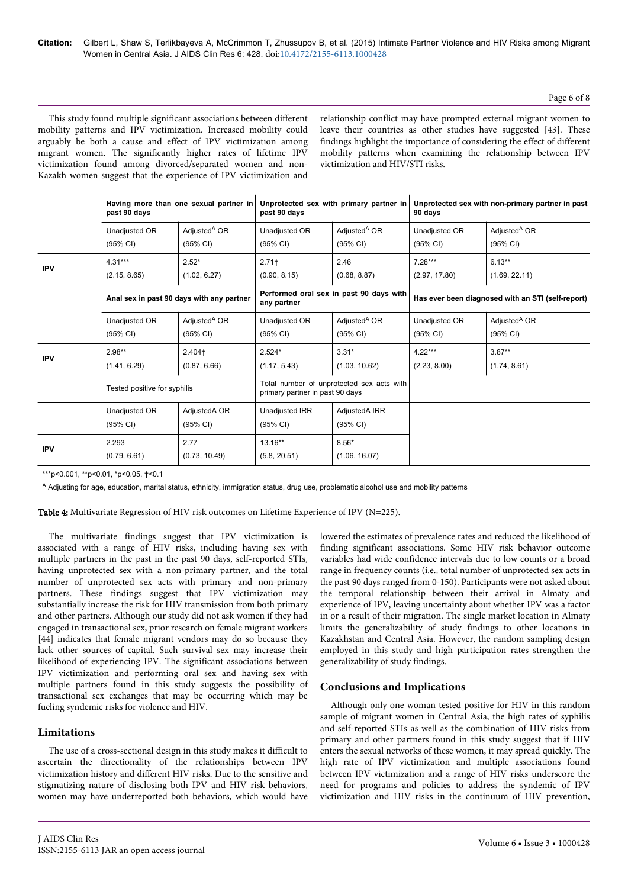## Page 6 of 8

This study found multiple significant associations between different mobility patterns and IPV victimization. Increased mobility could arguably be both a cause and effect of IPV victimization among migrant women. The significantly higher rates of lifetime IPV victimization found among divorced/separated women and non-Kazakh women suggest that the experience of IPV victimization and

relationship conflict may have prompted external migrant women to leave their countries as other studies have suggested [43]. These findings highlight the importance of considering the effect of different mobility patterns when examining the relationship between IPV victimization and HIV/STI risks.

|                                      | Having more than one sexual partner in<br>past 90 days |                          | Unprotected sex with primary partner in<br>past 90 days                      |                          | Unprotected sex with non-primary partner in past<br>90 days |                          |
|--------------------------------------|--------------------------------------------------------|--------------------------|------------------------------------------------------------------------------|--------------------------|-------------------------------------------------------------|--------------------------|
|                                      | Unadjusted OR                                          | Adjusted <sup>A</sup> OR | Unadjusted OR                                                                | Adjusted <sup>A</sup> OR | Unadjusted OR                                               | Adjusted <sup>A</sup> OR |
|                                      | (95% CI)                                               | (95% CI)                 | (95% CI)                                                                     | (95% CI)                 | (95% CI)                                                    | (95% CI)                 |
| <b>IPV</b>                           | $4.31***$                                              | $2.52*$                  | $2.71+$                                                                      | 2.46                     | $7.28***$                                                   | $6.13**$                 |
|                                      | (2.15, 8.65)                                           | (1.02, 6.27)             | (0.90, 8.15)                                                                 | (0.68, 8.87)             | (2.97, 17.80)                                               | (1.69, 22.11)            |
|                                      | Anal sex in past 90 days with any partner              |                          | Performed oral sex in past 90 days with<br>any partner                       |                          | Has ever been diagnosed with an STI (self-report)           |                          |
|                                      | Unadjusted OR                                          | Adjusted <sup>A</sup> OR | Unadjusted OR                                                                | Adiusted <sup>A</sup> OR | Unadjusted OR                                               | Adjusted <sup>A</sup> OR |
|                                      | (95% CI)                                               | (95% CI)                 | (95% CI)                                                                     | (95% CI)                 | (95% CI)                                                    | (95% CI)                 |
| <b>IPV</b>                           | $2.98**$                                               | $2.404+$                 | $2.524*$                                                                     | $3.31*$                  | $4.22***$                                                   | $3.87**$                 |
|                                      | (1.41, 6.29)                                           | (0.87, 6.66)             | (1.17, 5.43)                                                                 | (1.03, 10.62)            | (2.23, 8.00)                                                | (1.74, 8.61)             |
|                                      | Tested positive for syphilis                           |                          | Total number of unprotected sex acts with<br>primary partner in past 90 days |                          |                                                             |                          |
|                                      | Unadjusted OR                                          | AdjustedA OR             | Unadjusted IRR                                                               | AdjustedA IRR            |                                                             |                          |
|                                      | $(95% \text{ Cl})$                                     | $(95% \text{ Cl})$       | (95% CI)                                                                     | (95% CI)                 |                                                             |                          |
| <b>IPV</b>                           | 2.293                                                  | 2.77                     | $13.16**$                                                                    | $8.56*$                  |                                                             |                          |
|                                      | (0.79, 6.61)                                           | (0.73, 10.49)            | (5.8, 20.51)                                                                 | (1.06, 16.07)            |                                                             |                          |
| ***p<0.001, **p<0.01, *p<0.05, +<0.1 |                                                        |                          |                                                                              |                          |                                                             |                          |

<sup>A</sup> Adjusting for age, education, marital status, ethnicity, immigration status, drug use, problematic alcohol use and mobility patterns

Table 4: Multivariate Regression of HIV risk outcomes on Lifetime Experience of IPV (N=225).

The multivariate findings suggest that IPV victimization is associated with a range of HIV risks, including having sex with multiple partners in the past in the past 90 days, self-reported STIs, having unprotected sex with a non-primary partner, and the total number of unprotected sex acts with primary and non-primary partners. These findings suggest that IPV victimization may substantially increase the risk for HIV transmission from both primary and other partners. Although our study did not ask women if they had engaged in transactional sex, prior research on female migrant workers [44] indicates that female migrant vendors may do so because they lack other sources of capital. Such survival sex may increase their likelihood of experiencing IPV. The significant associations between IPV victimization and performing oral sex and having sex with multiple partners found in this study suggests the possibility of transactional sex exchanges that may be occurring which may be fueling syndemic risks for violence and HIV.

# **Limitations**

The use of a cross-sectional design in this study makes it difficult to ascertain the directionality of the relationships between IPV victimization history and different HIV risks. Due to the sensitive and stigmatizing nature of disclosing both IPV and HIV risk behaviors, women may have underreported both behaviors, which would have

lowered the estimates of prevalence rates and reduced the likelihood of finding significant associations. Some HIV risk behavior outcome variables had wide confidence intervals due to low counts or a broad range in frequency counts (i.e., total number of unprotected sex acts in the past 90 days ranged from 0-150). Participants were not asked about the temporal relationship between their arrival in Almaty and experience of IPV, leaving uncertainty about whether IPV was a factor in or a result of their migration. The single market location in Almaty limits the generalizability of study findings to other locations in Kazakhstan and Central Asia. However, the random sampling design employed in this study and high participation rates strengthen the generalizability of study findings.

#### **Conclusions and Implications**

Although only one woman tested positive for HIV in this random sample of migrant women in Central Asia, the high rates of syphilis and self-reported STIs as well as the combination of HIV risks from primary and other partners found in this study suggest that if HIV enters the sexual networks of these women, it may spread quickly. The high rate of IPV victimization and multiple associations found between IPV victimization and a range of HIV risks underscore the need for programs and policies to address the syndemic of IPV victimization and HIV risks in the continuum of HIV prevention,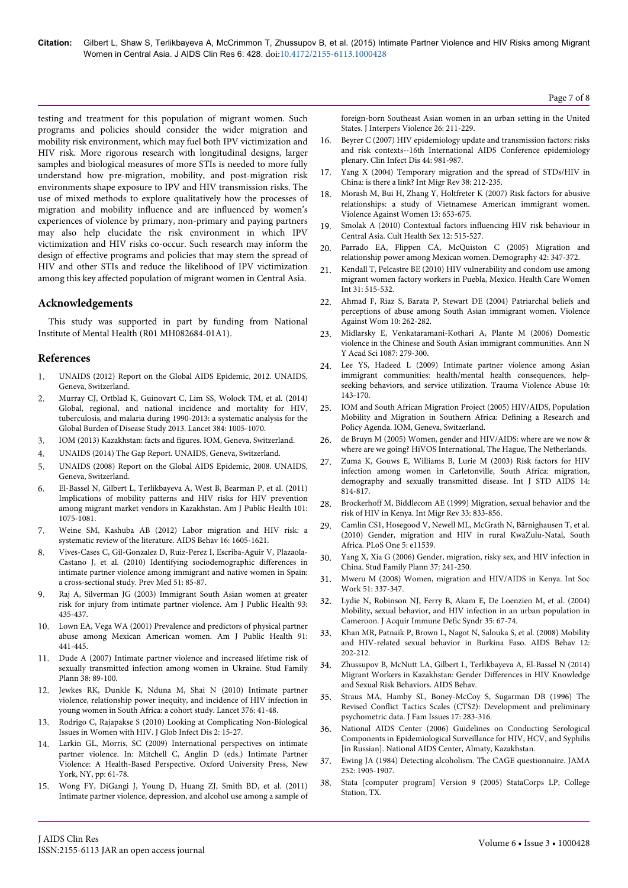testing and treatment for this population of migrant women. Such programs and policies should consider the wider migration and mobility risk environment, which may fuel both IPV victimization and HIV risk. More rigorous research with longitudinal designs, larger samples and biological measures of more STIs is needed to more fully understand how pre-migration, mobility, and post-migration risk environments shape exposure to IPV and HIV transmission risks. The use of mixed methods to explore qualitatively how the processes of migration and mobility influence and are influenced by women's experiences of violence by primary, non-primary and paying partners may also help elucidate the risk environment in which IPV victimization and HIV risks co-occur. Such research may inform the design of effective programs and policies that may stem the spread of HIV and other STIs and reduce the likelihood of IPV victimization among this key affected population of migrant women in Central Asia.

#### **Acknowledgements**

This study was supported in part by funding from National Institute of Mental Health (R01 MH082684-01A1).

#### **References**

- 1. [UNAIDS \(2012\) Report on the Global AIDS Epidemic, 2012. UNAIDS,](http://www.unaids.org/sites/default/files/media_asset/20121120_UNAIDS_Global_Report_2012_with_annexes_en_1.pdf) [Geneva, Switzerland.](http://www.unaids.org/sites/default/files/media_asset/20121120_UNAIDS_Global_Report_2012_with_annexes_en_1.pdf)
- 2. [Murray CJ, Ortblad K, Guinovart C, Lim SS, Wolock TM, et al. \(2014\)](http://www.ncbi.nlm.nih.gov/pubmed/25059949) [Global, regional, and national incidence and mortality for HIV,](http://www.ncbi.nlm.nih.gov/pubmed/25059949) [tuberculosis, and malaria during 1990-2013: a systematic analysis for the](http://www.ncbi.nlm.nih.gov/pubmed/25059949) [Global Burden of Disease Study 2013. Lancet 384: 1005-1070.](http://www.ncbi.nlm.nih.gov/pubmed/25059949)
- 3. IOM (2013) Kazakhstan: facts and figures. IOM, Geneva, Switzerland.
- 4. UNAIDS (2014) The Gap Report. UNAIDS, Geneva, Switzerland.
- 5. [UNAIDS \(2008\) Report on the Global AIDS Epidemic, 2008. UNAIDS,](http://data.unaids.org/pub/GlobalReport/2008/JC1511_GR08_ExecutiveSummary_en.pdf) [Geneva, Switzerland.](http://data.unaids.org/pub/GlobalReport/2008/JC1511_GR08_ExecutiveSummary_en.pdf)
- 6. [El-Bassel N, Gilbert L, Terlikbayeva A, West B, Bearman P, et al. \(2011\)](http://www.ncbi.nlm.nih.gov/pubmed/21493929) [Implications of mobility patterns and HIV risks for HIV prevention](http://www.ncbi.nlm.nih.gov/pubmed/21493929) [among migrant market vendors in Kazakhstan. Am J Public Health 101:](http://www.ncbi.nlm.nih.gov/pubmed/21493929) [1075-1081.](http://www.ncbi.nlm.nih.gov/pubmed/21493929)
- 7. [Weine SM, Kashuba AB \(2012\) Labor migration and HIV risk: a](http://www.ncbi.nlm.nih.gov/pubmed/22481273) [systematic review of the literature. AIDS Behav 16: 1605-1621.](http://www.ncbi.nlm.nih.gov/pubmed/22481273)
- 8. [Vives-Cases C, Gil-Gonzalez D, Ruiz-Perez I, Escriba-Aguir V, Plazaola-](http://www.ncbi.nlm.nih.gov/pubmed/20362609)[Castano J, et al. \(2010\) Identifying sociodemographic differences in](http://www.ncbi.nlm.nih.gov/pubmed/20362609) [intimate partner violence among immigrant and native women in Spain:](http://www.ncbi.nlm.nih.gov/pubmed/20362609) [a cross-sectional study. Prev Med 51: 85-87.](http://www.ncbi.nlm.nih.gov/pubmed/20362609)
- 9. [Raj A, Silverman JG \(2003\) Immigrant South Asian women at greater](http://www.ncbi.nlm.nih.gov/pubmed/12604489) [risk for injury from intimate partner violence. Am J Public Health 93:](http://www.ncbi.nlm.nih.gov/pubmed/12604489) [435-437.](http://www.ncbi.nlm.nih.gov/pubmed/12604489)
- 10. [Lown EA, Vega WA \(2001\) Prevalence and predictors of physical partner](http://www.ncbi.nlm.nih.gov/pubmed/11236411) [abuse among Mexican American women. Am J Public Health 91:](http://www.ncbi.nlm.nih.gov/pubmed/11236411) [441-445.](http://www.ncbi.nlm.nih.gov/pubmed/11236411)
- 11. [Dude A \(2007\) Intimate partner violence and increased lifetime risk of](http://www.ncbi.nlm.nih.gov/pubmed/17642410) [sexually transmitted infection among women in Ukraine. Stud Family](http://www.ncbi.nlm.nih.gov/pubmed/17642410) [Plann 38: 89-100.](http://www.ncbi.nlm.nih.gov/pubmed/17642410)
- 12. [Jewkes RK, Dunkle K, Nduna M, Shai N \(2010\) Intimate partner](http://www.thelancet.com/journals/lancet/article/PIIS0140-6736%2810%2960548-X/abstract) [violence, relationship power inequity, and incidence of HIV infection in](http://www.thelancet.com/journals/lancet/article/PIIS0140-6736%2810%2960548-X/abstract) [young women in South Africa: a cohort study. Lancet 376: 41-48.](http://www.thelancet.com/journals/lancet/article/PIIS0140-6736%2810%2960548-X/abstract)
- 13. [Rodrigo C, Rajapakse S \(2010\) Looking at Complicating Non-Biological](http://www.ncbi.nlm.nih.gov/pubmed/20300413) [Issues in Women with HIV. J Glob Infect Dis 2: 15-27.](http://www.ncbi.nlm.nih.gov/pubmed/20300413)
- 14. [Larkin GL, Morris, SC \(2009\) International perspectives on intimate](https://books.google.co.in/books?id=Q04QO7UmyowC&pg=PA77&dq=International+perspectives+on+intimate+partner+violence&hl=en&sa=X&ei=GXf1VJf7NM6LuAS_0oCYDw&ved=0CCUQ6AEwAg) [partner violence. In: Mitchell C, Anglin D \(eds.\) Intimate Partner](https://books.google.co.in/books?id=Q04QO7UmyowC&pg=PA77&dq=International+perspectives+on+intimate+partner+violence&hl=en&sa=X&ei=GXf1VJf7NM6LuAS_0oCYDw&ved=0CCUQ6AEwAg) [Violence: A Health-Based Perspective. Oxford University Press, New](https://books.google.co.in/books?id=Q04QO7UmyowC&pg=PA77&dq=International+perspectives+on+intimate+partner+violence&hl=en&sa=X&ei=GXf1VJf7NM6LuAS_0oCYDw&ved=0CCUQ6AEwAg) [York, NY, pp: 61-78.](https://books.google.co.in/books?id=Q04QO7UmyowC&pg=PA77&dq=International+perspectives+on+intimate+partner+violence&hl=en&sa=X&ei=GXf1VJf7NM6LuAS_0oCYDw&ved=0CCUQ6AEwAg)
- 15. [Wong FY, DiGangi J, Young D, Huang ZJ, Smith BD, et al. \(2011\)](http://www.ncbi.nlm.nih.gov/pubmed/20457842) [Intimate partner violence, depression, and alcohol use among a sample of](http://www.ncbi.nlm.nih.gov/pubmed/20457842)

[foreign-born Southeast Asian women in an urban setting in the United](http://www.ncbi.nlm.nih.gov/pubmed/20457842) [States. J Interpers Violence 26: 211-229.](http://www.ncbi.nlm.nih.gov/pubmed/20457842)

- 16. [Beyrer C \(2007\) HIV epidemiology update and transmission factors: risks](http://www.ncbi.nlm.nih.gov/pubmed/17342654) [and risk contexts--16th International AIDS Conference epidemiology](http://www.ncbi.nlm.nih.gov/pubmed/17342654) [plenary. Clin Infect Dis 44: 981-987.](http://www.ncbi.nlm.nih.gov/pubmed/17342654)
- 17. [Yang X \(2004\) Temporary migration and the spread of STDs/HIV in](http://www.jstor.org/discover/10.2307/27645363?sid=21105513284171&uid=70&uid=4&uid=3738256&uid=2&uid=2129) [China: is there a link? Int Migr Rev 38: 212-235.](http://www.jstor.org/discover/10.2307/27645363?sid=21105513284171&uid=70&uid=4&uid=3738256&uid=2&uid=2129)
- [Morash M, Bui H, Zhang Y, Holtfreter K \(2007\) Risk factors for abusive](http://www.ncbi.nlm.nih.gov/pubmed/17600304) [relationships: a study of Vietnamese American immigrant women.](http://www.ncbi.nlm.nih.gov/pubmed/17600304) [Violence Against Women 13: 653-675.](http://www.ncbi.nlm.nih.gov/pubmed/17600304)
- 19. [Smolak A \(2010\) Contextual factors influencing HIV risk behaviour in](http://www.ncbi.nlm.nih.gov/pubmed/20301020) [Central Asia. Cult Health Sex 12: 515-527.](http://www.ncbi.nlm.nih.gov/pubmed/20301020)
- 20. [Parrado EA, Flippen CA, McQuiston C \(2005\) Migration and](http://www.ncbi.nlm.nih.gov/pubmed/15986990) [relationship power among Mexican women. Demography 42: 347-372.](http://www.ncbi.nlm.nih.gov/pubmed/15986990)
- 21. [Kendall T, Pelcastre BE \(2010\) HIV vulnerability and condom use among](http://www.ncbi.nlm.nih.gov/pubmed/20461602) [migrant women factory workers in Puebla, Mexico. Health Care Women](http://www.ncbi.nlm.nih.gov/pubmed/20461602) [Int 31: 515-532.](http://www.ncbi.nlm.nih.gov/pubmed/20461602)
- 22. [Ahmad F, Riaz S, Barata P, Stewart DE \(2004\) Patriarchal beliefs and](http://vaw.sagepub.com/content/10/3/262.abstract) [perceptions of abuse among South Asian immigrant women. Violence](http://vaw.sagepub.com/content/10/3/262.abstract) [Against Wom 10: 262-282.](http://vaw.sagepub.com/content/10/3/262.abstract)
- 23. [Midlarsky E, Venkataramani-Kothari A, Plante M \(2006\) Domestic](http://www.ncbi.nlm.nih.gov/pubmed/17189511) [violence in the Chinese and South Asian immigrant communities. Ann N](http://www.ncbi.nlm.nih.gov/pubmed/17189511) [Y Acad Sci 1087: 279-300.](http://www.ncbi.nlm.nih.gov/pubmed/17189511)
- 24. [Lee YS, Hadeed L \(2009\) Intimate partner violence among Asian](http://www.ncbi.nlm.nih.gov/pubmed/19383628) [immigrant communities: health/mental health consequences, help](http://www.ncbi.nlm.nih.gov/pubmed/19383628)[seeking behaviors, and service utilization. Trauma Violence Abuse 10:](http://www.ncbi.nlm.nih.gov/pubmed/19383628) [143-170.](http://www.ncbi.nlm.nih.gov/pubmed/19383628)
- 25. [IOM and South African Migration Project \(2005\) HIV/AIDS, Population](http://www.iom.int/jahia/webdav/site/myjahiasite/shared/shared/mainsite/events/docs/2005_AIDS_Population_Mobility.pdf) [Mobility and Migration in Southern Africa: Defining a Research and](http://www.iom.int/jahia/webdav/site/myjahiasite/shared/shared/mainsite/events/docs/2005_AIDS_Population_Mobility.pdf) [Policy Agenda. IOM, Geneva, Switzerland.](http://www.iom.int/jahia/webdav/site/myjahiasite/shared/shared/mainsite/events/docs/2005_AIDS_Population_Mobility.pdf)
- 26. [de Bruyn M \(2005\) Women, gender and HIV/AIDS: where are we now &](http://www.researchgate.net/publication/242082132_Women_gender_and_HIVAIDS_Where_are_we_now__where_are_we_going) [where are we going? HiVOS International, The Hague, The Netherlands.](http://www.researchgate.net/publication/242082132_Women_gender_and_HIVAIDS_Where_are_we_now__where_are_we_going)
- 27. [Zuma K, Gouws E, Williams B, Lurie M \(2003\) Risk factors for HIV](http://www.ncbi.nlm.nih.gov/pubmed/14678589) [infection among women in Carletonville, South Africa: migration,](http://www.ncbi.nlm.nih.gov/pubmed/14678589) [demography and sexually transmitted disease. Int J STD AIDS 14:](http://www.ncbi.nlm.nih.gov/pubmed/14678589) [814-817.](http://www.ncbi.nlm.nih.gov/pubmed/14678589)
- 28. [Brockerhoff M, Biddlecom AE \(1999\) Migration, sexual behavior and the](http://www.jstor.org/discover/10.2307/2547354?sid=21105513284171&uid=3738256&uid=70&uid=2129&uid=4&uid=2) [risk of HIV in Kenya. Int Migr Rev 33: 833-856.](http://www.jstor.org/discover/10.2307/2547354?sid=21105513284171&uid=3738256&uid=70&uid=2129&uid=4&uid=2)
- 29. [Camlin CS1, Hosegood V, Newell ML, McGrath N, Bärnighausen T, et al.](http://www.ncbi.nlm.nih.gov/pubmed/20634965) [\(2010\) Gender, migration and HIV in rural KwaZulu-Natal, South](http://www.ncbi.nlm.nih.gov/pubmed/20634965) [Africa. PLoS One 5: e11539.](http://www.ncbi.nlm.nih.gov/pubmed/20634965)
- 30. [Yang X, Xia G \(2006\) Gender, migration, risky sex, and HIV infection in](http://www.ncbi.nlm.nih.gov/pubmed/17209282) [China. Stud Family Plann 37: 241-250.](http://www.ncbi.nlm.nih.gov/pubmed/17209282)
- 31. [Mweru M \(2008\) Women, migration and HIV/AIDS in Kenya. Int Soc](http://isw.sagepub.com/content/51/3/337.abstract) [Work 51: 337-347.](http://isw.sagepub.com/content/51/3/337.abstract)
- 32. [Lydie N, Robinson NJ, Ferry B, Akam E, De Loenzien M, et al. \(2004\)](http://www.ncbi.nlm.nih.gov/pubmed/14707795) [Mobility, sexual behavior, and HIV infection in an urban population in](http://www.ncbi.nlm.nih.gov/pubmed/14707795) [Cameroon. J Acquir Immune Defic Syndr 35: 67-74.](http://www.ncbi.nlm.nih.gov/pubmed/14707795)
- 33. [Khan MR, Patnaik P, Brown L, Nagot N, Salouka S, et al. \(2008\) Mobility](http://www.ncbi.nlm.nih.gov/pubmed/17968650) [and HIV-related sexual behavior in Burkina Faso. AIDS Behav 12:](http://www.ncbi.nlm.nih.gov/pubmed/17968650) [202-212.](http://www.ncbi.nlm.nih.gov/pubmed/17968650)
- 34. [Zhussupov B, McNutt LA, Gilbert L, Terlikbayeva A, El-Bassel N \(2014\)](http://www.ncbi.nlm.nih.gov/pubmed/25294629) [Migrant Workers in Kazakhstan: Gender Differences in HIV Knowledge](http://www.ncbi.nlm.nih.gov/pubmed/25294629) [and Sexual Risk Behaviors. AIDS Behav.](http://www.ncbi.nlm.nih.gov/pubmed/25294629)
- 35. [Straus MA, Hamby SL, Boney-McCoy S, Sugarman DB \(1996\) The](http://jfi.sagepub.com/content/17/3/283.short?rss=1&ssource=mfc) [Revised Conflict Tactics Scales \(CTS2\): Development and preliminary](http://jfi.sagepub.com/content/17/3/283.short?rss=1&ssource=mfc) [psychometric data. J Fam Issues 17: 283-316.](http://jfi.sagepub.com/content/17/3/283.short?rss=1&ssource=mfc)
- 36. National AIDS Center (2006) Guidelines on Conducting Serological Components in Epidemiological Surveillance for HIV, HCV, and Syphilis [in Russian]. National AIDS Center, Almaty, Kazakhstan.
- 37. [Ewing JA \(1984\) Detecting alcoholism. The CAGE questionnaire. JAMA](http://www.ncbi.nlm.nih.gov/pubmed/6471323) [252: 1905-1907.](http://www.ncbi.nlm.nih.gov/pubmed/6471323)
- 38. Stata [computer program] Version 9 (2005) StataCorps LP, College Station, TX.